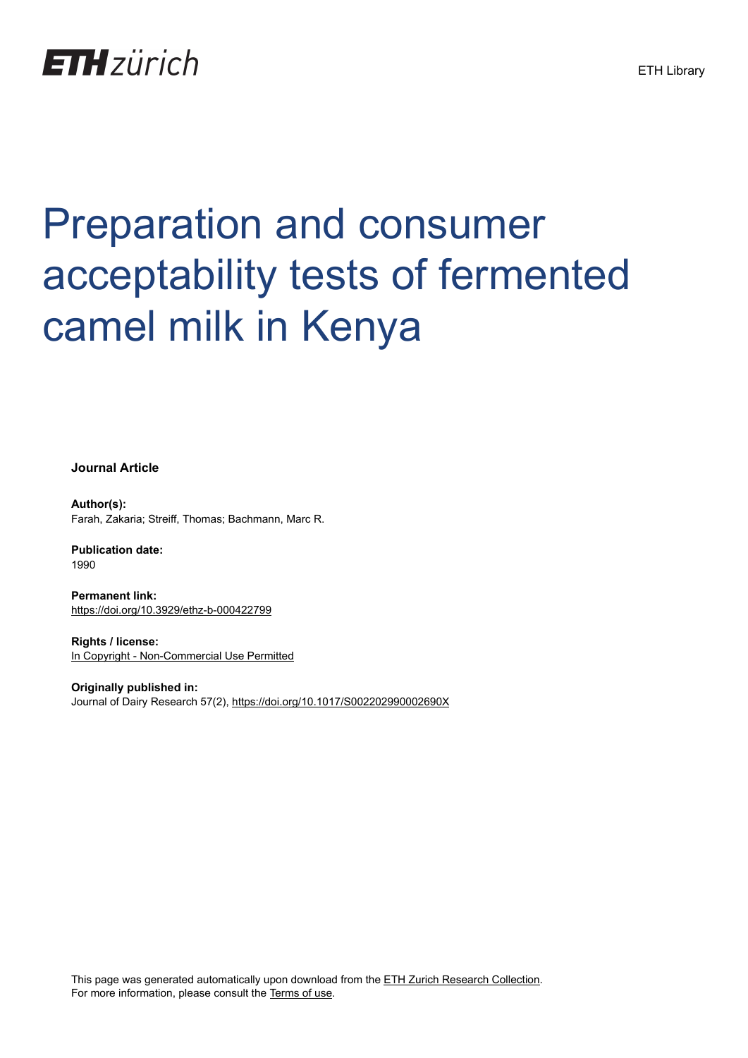# **ETH**zürich

# Preparation and consumer acceptability tests of fermented camel milk in Kenya

**Journal Article**

**Author(s):** Farah, Zakaria; Streiff, Thomas; Bachmann, Marc R.

**Publication date:** 1990

**Permanent link:** <https://doi.org/10.3929/ethz-b-000422799>

**Rights / license:** [In Copyright - Non-Commercial Use Permitted](http://rightsstatements.org/page/InC-NC/1.0/)

**Originally published in:** Journal of Dairy Research 57(2), <https://doi.org/10.1017/S002202990002690X>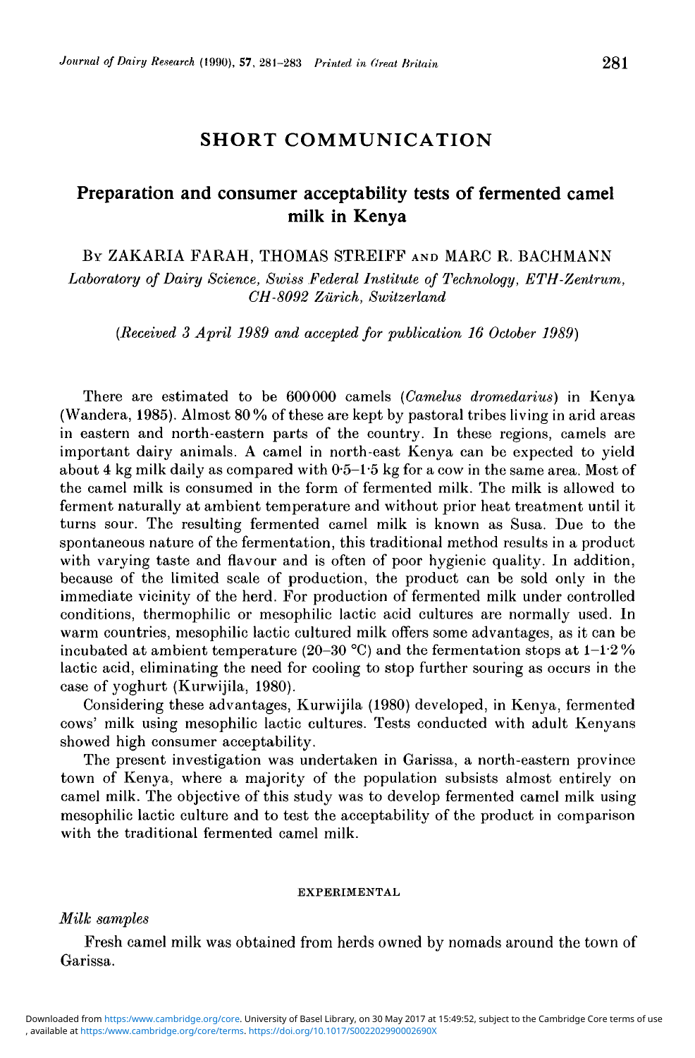## SHORT COMMUNICATION

### Preparation and consumer acceptability tests of fermented camel milk in Kenya

BY ZAKARIA FARAH, THOMAS STREIFF AND MARC R. BACHMANN

*Laboratory of Dairy Science, Swiss Federal Institute of Technology, ETH-Zentrum, CH-8092 Zurich, Switzerland*

*[Received 3 April 1989 and accepted for publication 16 October 1989)*

There are estimated to be 600000 camels *(Camelus dromedarius)* in Kenya (Wandera, 1985). Almost 80% of these are kept by pastoral tribes living in arid areas in eastern and north-eastern parts of the country. In these regions, camels are important dairy animals. A camel in north-east Kenya can be expected to yield about 4 kg milk daily as compared with 05-15 kg for a cow in the same area. Most of the camel milk is consumed in the form of fermented milk. The milk is allowed to ferment naturally at ambient temperature and without prior heat treatment until it turns sour. The resulting fermented camel milk is known as Susa. Due to the spontaneous nature of the fermentation, this traditional method results in a product with varying taste and flavour and is often of poor hygienic quality. In addition, because of the limited scale of production, the product can be sold only in the immediate vicinity of the herd. For production of fermented milk under controlled conditions, thermophilic or mesophilic lactic acid cultures are normally used. In warm countries, mesophilic lactic cultured milk offers some advantages, as it can be incubated at ambient temperature (20-30 °C) and the fermentation stops at  $1-1.2\%$ lactic acid, eliminating the need for cooling to stop further souring as occurs in the case of yoghurt (Kurwijila, 1980).

Considering these advantages, Kurwijila (1980) developed, in Kenya, fermented cows' milk using mesophilic lactic cultures. Tests conducted with adult Kenyans showed high consumer acceptability.

The present investigation was undertaken in Garissa, a north-eastern province town of Kenya, where a majority of the population subsists almost entirely on camel milk. The objective of this study was to develop fermented camel milk using mesophilic lactic culture and to test the acceptability of the product in comparison with the traditional fermented camel milk.

#### EXPERIMENTAL

#### *Milk samples*

Fresh camel milk was obtained from herds owned by nomads around the town of Garissa.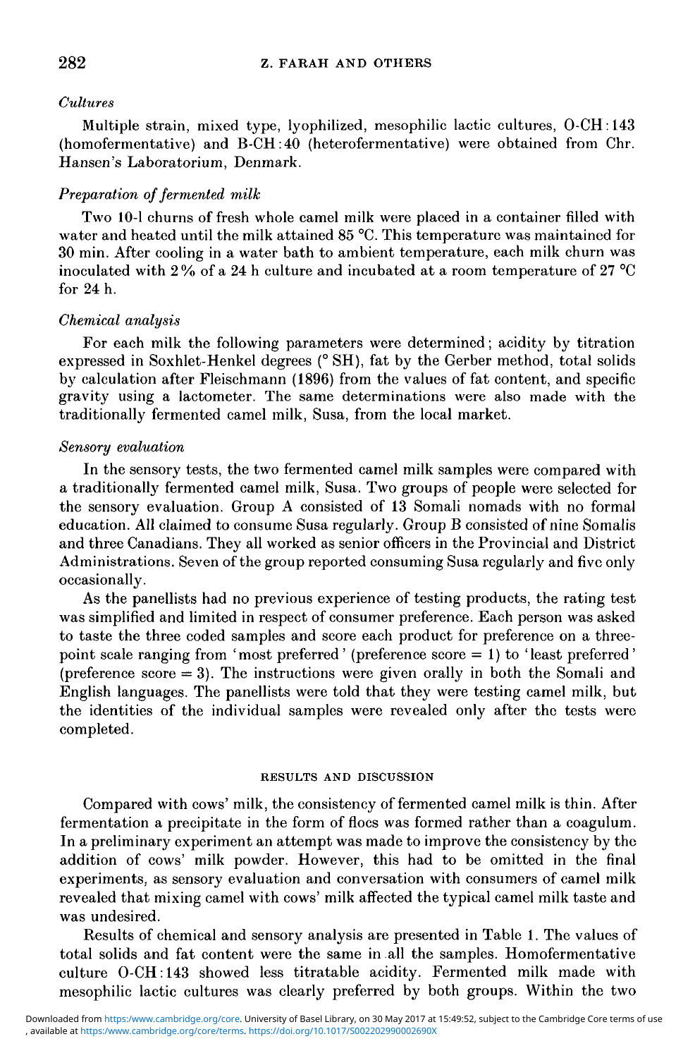#### *Cultures*

Multiple strain, mixed type, lyophilized, mesophilic lactic cultures, O-CH:143 (homofermentative) and B-CH:40 (heterofermentative) were obtained from Chr. Hansen's Laboratorium, Denmark.

#### *Preparation of fermented milk*

Two 10-1 churns of fresh whole camel milk were placed in a container filled with water and heated until the milk attained 85 °C. This temperature was maintained for 30 min. After cooling in a water bath to ambient temperature, each milk churn was inoculated with 2 % of a 24 h culture and incubated at a room temperature of 27 °C for 24 h.

#### *Chemical analysis*

For each milk the following parameters were determined; acidity by titration expressed in Soxhlet-Henkel degrees (° SH), fat by the Gerber method, total solids by calculation after Fleischmann (1896) from the values of fat content, and specific gravity using a lactometer. The same determinations were also made with the traditionally fermented camel milk, Susa, from the local market.

#### *Sensory evaluation*

In the sensory tests, the two fermented camel milk samples were compared with a traditionally fermented camel milk, Susa. Two groups of people were selected for the sensory evaluation. Group A consisted of 13 Somali nomads with no formal education. All claimed to consume Susa regularly. Group B consisted of nine Somalis and three Canadians. They all worked as senior officers in the Provincial and District Administrations. Seven of the group reported consuming Susa regularly and five only occasionally.

As the panellists had no previous experience of testing products, the rating test was simplified and limited in respect of consumer preference. Each person was asked to taste the three coded samples and score each product for preference on a threepoint scale ranging from ' most preferred ' (preference score = 1) to ' least preferred ' (preference  $\text{score} = 3$ ). The instructions were given orally in both the Somali and English languages. The panellists were told that they were testing camel milk, but the identities of the individual samples were revealed only after the tests were completed.

#### RESULTS AND DISCUSSION

Compared with cows' milk, the consistency of fermented camel milk is thin. After fermentation a precipitate in the form of floes was formed rather than a coagulum. In a preliminary experiment an attempt was made to improve the consistency by the addition of cows' milk powder. However, this had to be omitted in the final experiments, as sensory evaluation and conversation with consumers of camel milk revealed that mixing camel with cows' milk affected the typical camel milk taste and was undesired.

Results of chemical and sensory analysis are presented in Table 1. The values of total solids and fat content were the same in all the samples. Homofermentative culture O-CH: 143 showed less titratable acidity. Fermented milk made with mesophilic lactic cultures was clearly preferred by both groups. Within the two